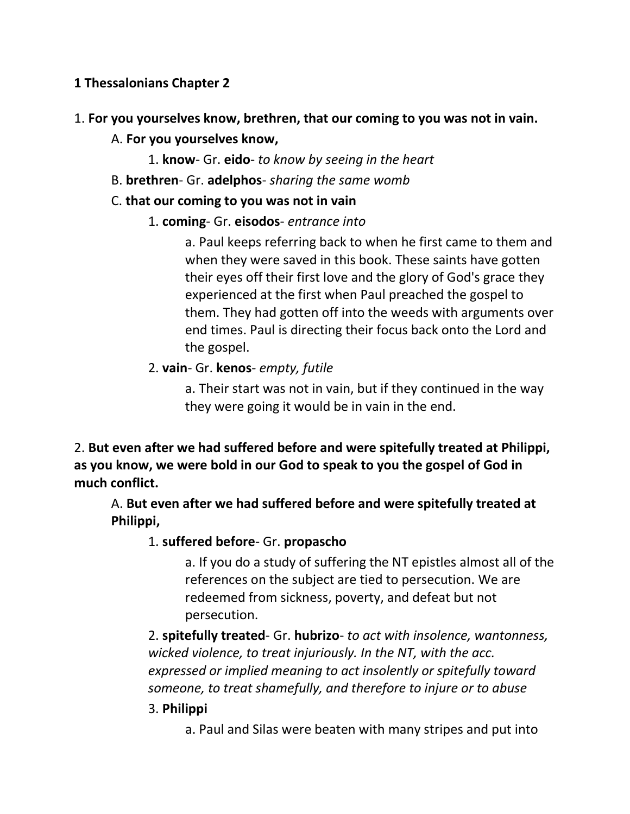## **1 Thessalonians Chapter 2**

- 1. **For you yourselves know, brethren, that our coming to you was not in vain.**
	- A. **For you yourselves know,**
		- 1. **know** Gr. **eido** *to know by seeing in the heart*
	- B. **brethren** Gr. **adelphos** *sharing the same womb*
	- C. **that our coming to you was not in vain**
		- 1. **coming** Gr. **eisodos** *entrance into*

a. Paul keeps referring back to when he first came to them and when they were saved in this book. These saints have gotten their eyes off their first love and the glory of God's grace they experienced at the first when Paul preached the gospel to them. They had gotten off into the weeds with arguments over end times. Paul is directing their focus back onto the Lord and the gospel.

2. **vain**- Gr. **kenos**- *empty, futile* 

a. Their start was not in vain, but if they continued in the way they were going it would be in vain in the end.

2. **But even after we had suffered before and were spitefully treated at Philippi, as you know, we were bold in our God to speak to you the gospel of God in much conflict.** 

A. **But even after we had suffered before and were spitefully treated at Philippi,**

1. **suffered before**- Gr. **propascho**

a. If you do a study of suffering the NT epistles almost all of the references on the subject are tied to persecution. We are redeemed from sickness, poverty, and defeat but not persecution.

2. **spitefully treated**- Gr. **hubrizo**- *to act with insolence, wantonness, wicked violence, to treat injuriously. In the NT, with the acc. expressed or implied meaning to act insolently or spitefully toward someone, to treat shamefully, and therefore to injure or to abuse*

### 3. **Philippi**

a. Paul and Silas were beaten with many stripes and put into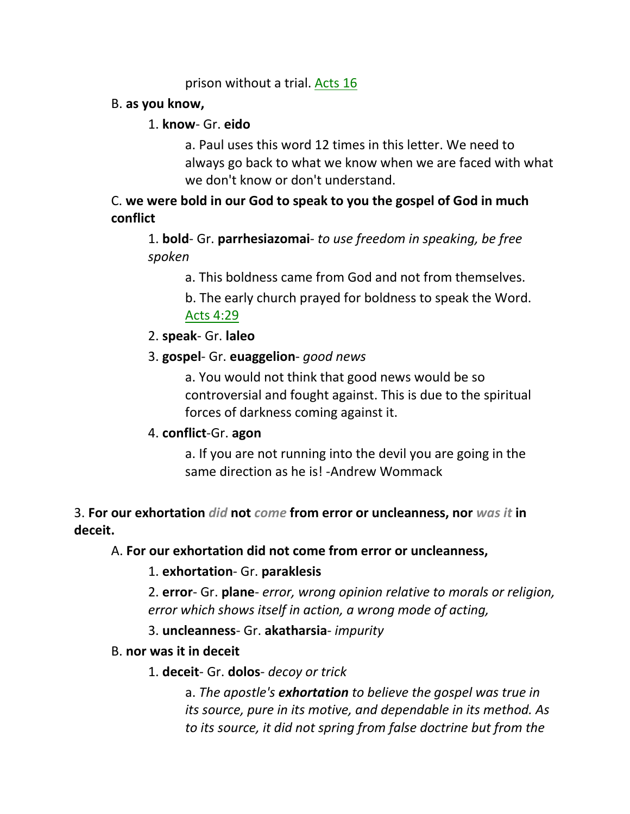### prison without a trial. Acts 16

### B. **as you know,**

### 1. **know**- Gr. **eido**

a. Paul uses this word 12 times in this letter. We need to always go back to what we know when we are faced with what we don't know or don't understand.

# C. **we were bold in our God to speak to you the gospel of God in much conflict**

1. **bold**- Gr. **parrhesiazomai**- *to use freedom in speaking, be free spoken*

a. This boldness came from God and not from themselves.

b. The early church prayed for boldness to speak the Word. Acts 4:29

- 2. **speak** Gr. **laleo**
- 3. **gospel** Gr. **euaggelion** *good news*

a. You would not think that good news would be so controversial and fought against. This is due to the spiritual forces of darkness coming against it.

### 4. **conflict**-Gr. **agon**

a. If you are not running into the devil you are going in the same direction as he is! -Andrew Wommack

3. **For our exhortation** *did* **not** *come* **from error or uncleanness, nor** *was it* **in deceit.**

### A. **For our exhortation did not come from error or uncleanness,**

1. **exhortation**- Gr. **paraklesis**

2. **error**- Gr. **plane**- *error, wrong opinion relative to morals or religion, error which shows itself in action, a wrong mode of acting,* 

3. **uncleanness**- Gr. **akatharsia**- *impurity*

### B. **nor was it in deceit**

### 1. **deceit**- Gr. **dolos**- *decoy or trick*

a. *The apostle's exhortation to believe the gospel was true in its source, pure in its motive, and dependable in its method. As to its source, it did not spring from false doctrine but from the*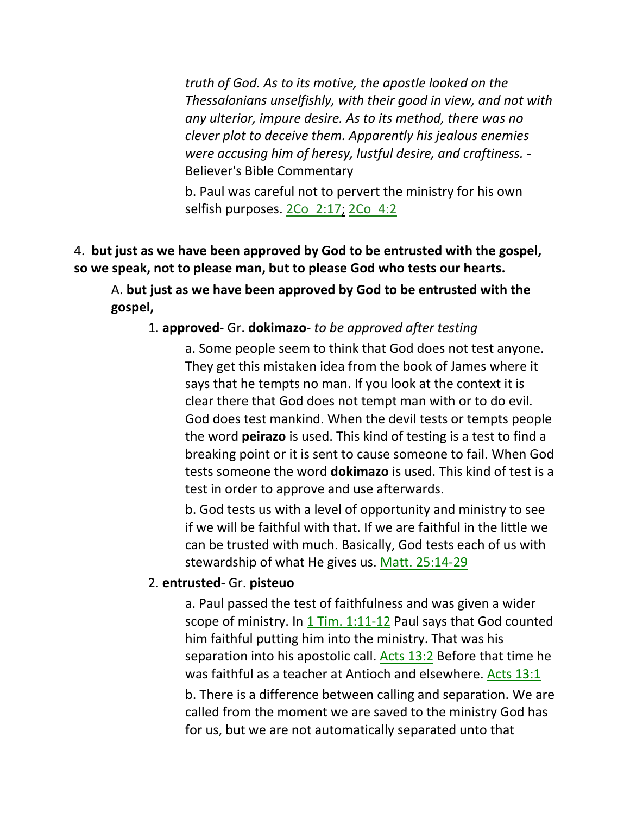*truth of God. As to its motive, the apostle looked on the Thessalonians unselfishly, with their good in view, and not with any ulterior, impure desire. As to its method, there was no clever plot to deceive them. Apparently his jealous enemies were accusing him of heresy, lustful desire, and craftiness. -* Believer's Bible Commentary

b. Paul was careful not to pervert the ministry for his own selfish purposes. 2Co\_2:17; 2Co\_4:2

# 4. **but just as we have been approved by God to be entrusted with the gospel, so we speak, not to please man, but to please God who tests our hearts.**

A. **but just as we have been approved by God to be entrusted with the gospel,**

### 1. **approved**- Gr. **dokimazo**- *to be approved after testing*

a. Some people seem to think that God does not test anyone. They get this mistaken idea from the book of James where it says that he tempts no man. If you look at the context it is clear there that God does not tempt man with or to do evil. God does test mankind. When the devil tests or tempts people the word **peirazo** is used. This kind of testing is a test to find a breaking point or it is sent to cause someone to fail. When God tests someone the word **dokimazo** is used. This kind of test is a test in order to approve and use afterwards.

b. God tests us with a level of opportunity and ministry to see if we will be faithful with that. If we are faithful in the little we can be trusted with much. Basically, God tests each of us with stewardship of what He gives us. Matt. 25:14-29

#### 2. **entrusted**- Gr. **pisteuo**

a. Paul passed the test of faithfulness and was given a wider scope of ministry. In 1 Tim. 1:11-12 Paul says that God counted him faithful putting him into the ministry. That was his separation into his apostolic call. Acts 13:2 Before that time he was faithful as a teacher at Antioch and elsewhere. Acts 13:1

b. There is a difference between calling and separation. We are called from the moment we are saved to the ministry God has for us, but we are not automatically separated unto that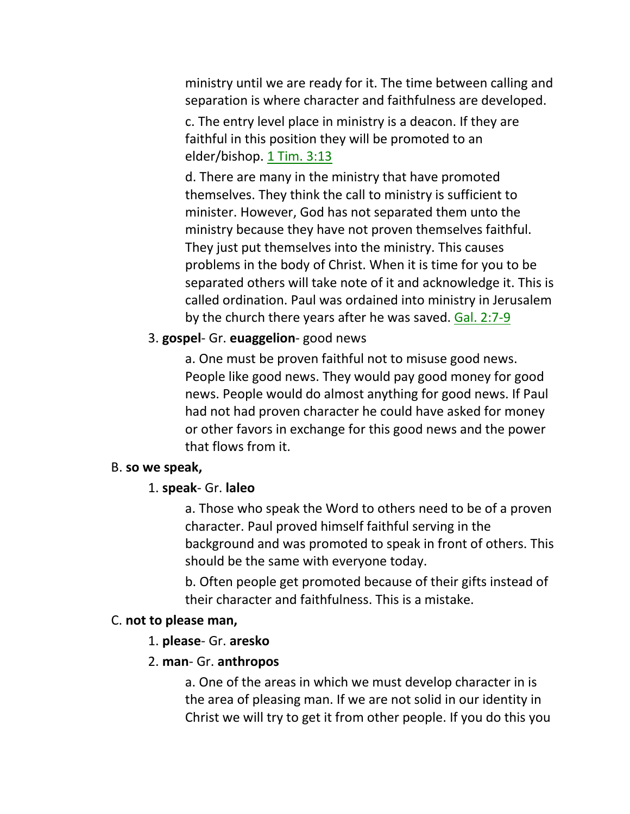ministry until we are ready for it. The time between calling and separation is where character and faithfulness are developed.

c. The entry level place in ministry is a deacon. If they are faithful in this position they will be promoted to an elder/bishop. 1 Tim. 3:13

d. There are many in the ministry that have promoted themselves. They think the call to ministry is sufficient to minister. However, God has not separated them unto the ministry because they have not proven themselves faithful. They just put themselves into the ministry. This causes problems in the body of Christ. When it is time for you to be separated others will take note of it and acknowledge it. This is called ordination. Paul was ordained into ministry in Jerusalem by the church there years after he was saved. Gal. 2:7-9

### 3. **gospel**- Gr. **euaggelion**- good news

a. One must be proven faithful not to misuse good news. People like good news. They would pay good money for good news. People would do almost anything for good news. If Paul had not had proven character he could have asked for money or other favors in exchange for this good news and the power that flows from it.

#### B. **so we speak,**

#### 1. **speak**- Gr. **laleo**

a. Those who speak the Word to others need to be of a proven character. Paul proved himself faithful serving in the background and was promoted to speak in front of others. This should be the same with everyone today.

b. Often people get promoted because of their gifts instead of their character and faithfulness. This is a mistake.

#### C. **not to please man,**

#### 1. **please**- Gr. **aresko**

#### 2. **man**- Gr. **anthropos**

a. One of the areas in which we must develop character in is the area of pleasing man. If we are not solid in our identity in Christ we will try to get it from other people. If you do this you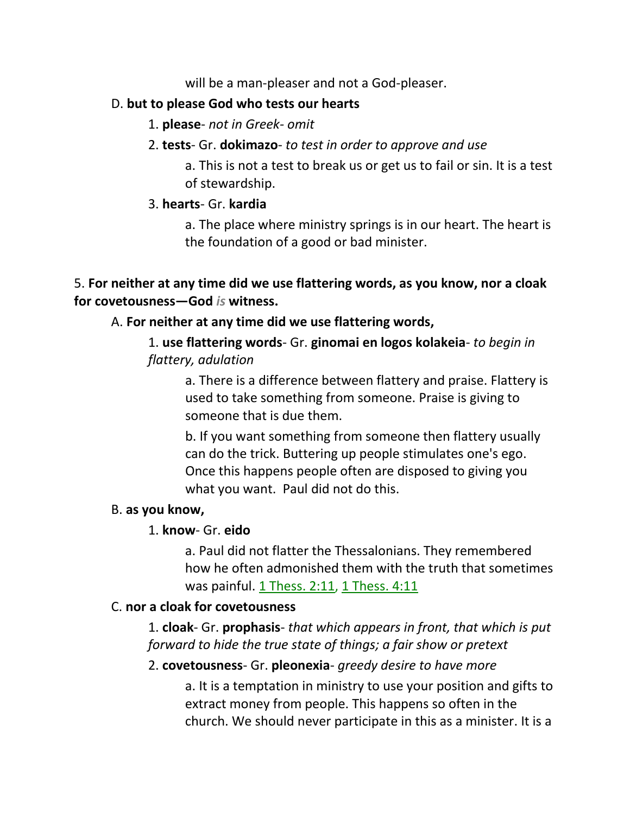will be a man-pleaser and not a God-pleaser.

### D. **but to please God who tests our hearts**

- 1. **please** *not in Greek- omit*
- 2. **tests** Gr. **dokimazo** *to test in order to approve and use*

a. This is not a test to break us or get us to fail or sin. It is a test of stewardship.

## 3. **hearts**- Gr. **kardia**

a. The place where ministry springs is in our heart. The heart is the foundation of a good or bad minister.

## 5. **For neither at any time did we use flattering words, as you know, nor a cloak for covetousness—God** *is* **witness.**

## A. **For neither at any time did we use flattering words,**

1. **use flattering words**- Gr. **ginomai en logos kolakeia**- *to begin in flattery, adulation*

a. There is a difference between flattery and praise. Flattery is used to take something from someone. Praise is giving to someone that is due them.

b. If you want something from someone then flattery usually can do the trick. Buttering up people stimulates one's ego. Once this happens people often are disposed to giving you what you want. Paul did not do this.

### B. **as you know,**

# 1. **know**- Gr. **eido**

a. Paul did not flatter the Thessalonians. They remembered how he often admonished them with the truth that sometimes was painful. 1 Thess. 2:11, 1 Thess. 4:11

### C. **nor a cloak for covetousness**

1. **cloak**- Gr. **prophasis**- *that which appears in front, that which is put forward to hide the true state of things; a fair show or pretext*

# 2. **covetousness**- Gr. **pleonexia**- *greedy desire to have more*

a. It is a temptation in ministry to use your position and gifts to extract money from people. This happens so often in the church. We should never participate in this as a minister. It is a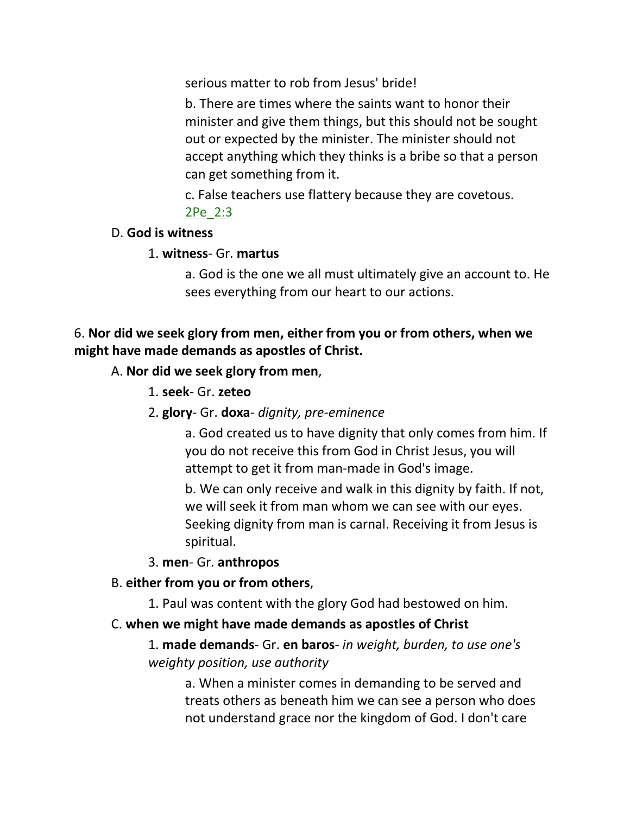serious matter to rob from Jesus' bride!

b. There are times where the saints want to honor their minister and give them things, but this should not be sought out or expected by the minister. The minister should not accept anything which they thinks is a bribe so that a person can get something from it.

c. False teachers use flattery because they are covetous. 2Pe\_2:3

#### D. **God is witness**

#### 1. **witness**- Gr. **martus**

a. God is the one we all must ultimately give an account to. He sees everything from our heart to our actions.

# 6. **Nor did we seek glory from men, either from you or from others, when we might have made demands as apostles of Christ.**

#### A. **Nor did we seek glory from men**,

- 1. **seek** Gr. **zeteo**
- 2. **glory** Gr. **doxa** *dignity, pre-eminence*

a. God created us to have dignity that only comes from him. If you do not receive this from God in Christ Jesus, you will attempt to get it from man-made in God's image.

b. We can only receive and walk in this dignity by faith. If not, we will seek it from man whom we can see with our eyes. Seeking dignity from man is carnal. Receiving it from Jesus is spiritual.

#### 3. **men**- Gr. **anthropos**

#### B. **either from you or from others**,

1. Paul was content with the glory God had bestowed on him.

#### C. **when we might have made demands as apostles of Christ**

1. **made demands**- Gr. **en baros**- *in weight, burden, to use one's weighty position, use authority*

a. When a minister comes in demanding to be served and treats others as beneath him we can see a person who does not understand grace nor the kingdom of God. I don't care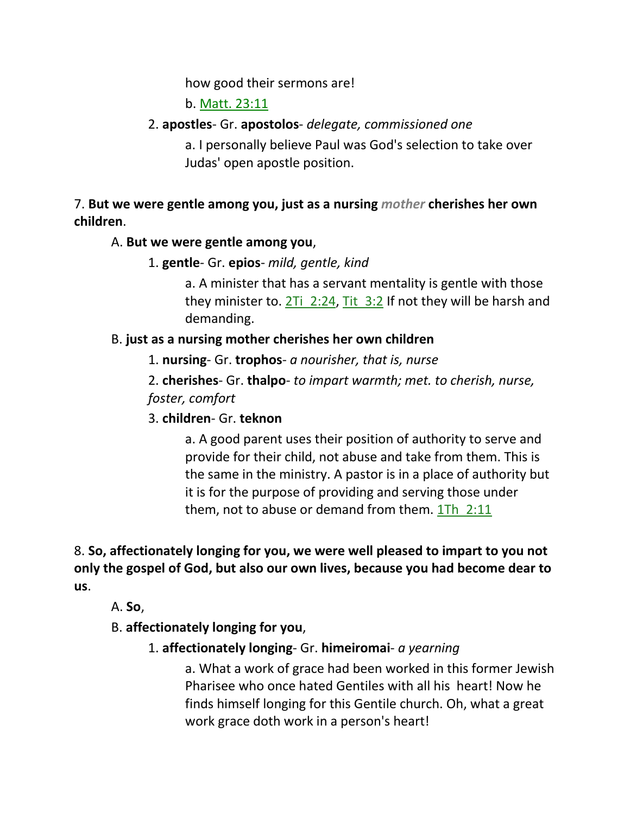how good their sermons are!

b. Matt. 23:11

# 2. **apostles**- Gr. **apostolos**- *delegate, commissioned one*

a. I personally believe Paul was God's selection to take over Judas' open apostle position.

7. **But we were gentle among you, just as a nursing** *mother* **cherishes her own children**.

# A. **But we were gentle among you**,

1. **gentle**- Gr. **epios**- *mild, gentle, kind*

a. A minister that has a servant mentality is gentle with those they minister to. 2Ti  $2:24$ , Tit  $3:2$  If not they will be harsh and demanding.

# B. **just as a nursing mother cherishes her own children**

1. **nursing**- Gr. **trophos**- *a nourisher, that is, nurse*

2. **cherishes**- Gr. **thalpo**- *to impart warmth; met. to cherish, nurse, foster, comfort*

# 3. **children**- Gr. **teknon**

a. A good parent uses their position of authority to serve and provide for their child, not abuse and take from them. This is the same in the ministry. A pastor is in a place of authority but it is for the purpose of providing and serving those under them, not to abuse or demand from them.  $1Th$   $2:11$ 

8. **So, affectionately longing for you, we were well pleased to impart to you not only the gospel of God, but also our own lives, because you had become dear to us**.

A. **So**,

B. **affectionately longing for you**,

1. **affectionately longing**- Gr. **himeiromai**- *a yearning*

a. What a work of grace had been worked in this former Jewish Pharisee who once hated Gentiles with all his heart! Now he finds himself longing for this Gentile church. Oh, what a great work grace doth work in a person's heart!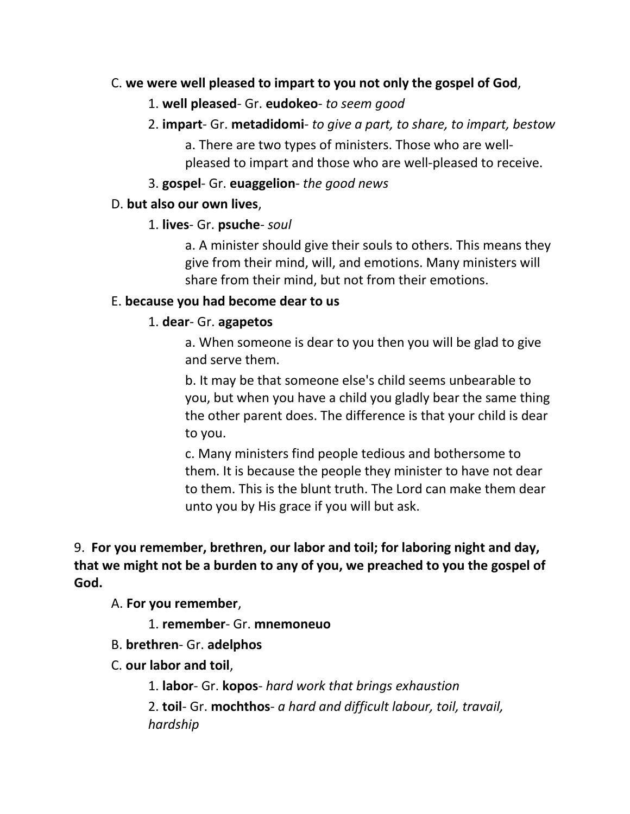### C. **we were well pleased to impart to you not only the gospel of God**,

### 1. **well pleased**- Gr. **eudokeo**- *to seem good*

2. **impart**- Gr. **metadidomi**- *to give a part, to share, to impart, bestow* a. There are two types of ministers. Those who are wellpleased to impart and those who are well-pleased to receive.

### 3. **gospel**- Gr. **euaggelion**- *the good news*

## D. **but also our own lives**,

## 1. **lives**- Gr. **psuche**- *soul*

a. A minister should give their souls to others. This means they give from their mind, will, and emotions. Many ministers will share from their mind, but not from their emotions.

## E. **because you had become dear to us**

## 1. **dear**- Gr. **agapetos**

a. When someone is dear to you then you will be glad to give and serve them.

b. It may be that someone else's child seems unbearable to you, but when you have a child you gladly bear the same thing the other parent does. The difference is that your child is dear to you.

c. Many ministers find people tedious and bothersome to them. It is because the people they minister to have not dear to them. This is the blunt truth. The Lord can make them dear unto you by His grace if you will but ask.

# 9. **For you remember, brethren, our labor and toil; for laboring night and day, that we might not be a burden to any of you, we preached to you the gospel of God.**

A. **For you remember**,

1. **remember**- Gr. **mnemoneuo**

B. **brethren**- Gr. **adelphos**

# C. **our labor and toil**,

1. **labor**- Gr. **kopos**- *hard work that brings exhaustion*

2. **toil**- Gr. **mochthos**- *a hard and difficult labour, toil, travail, hardship*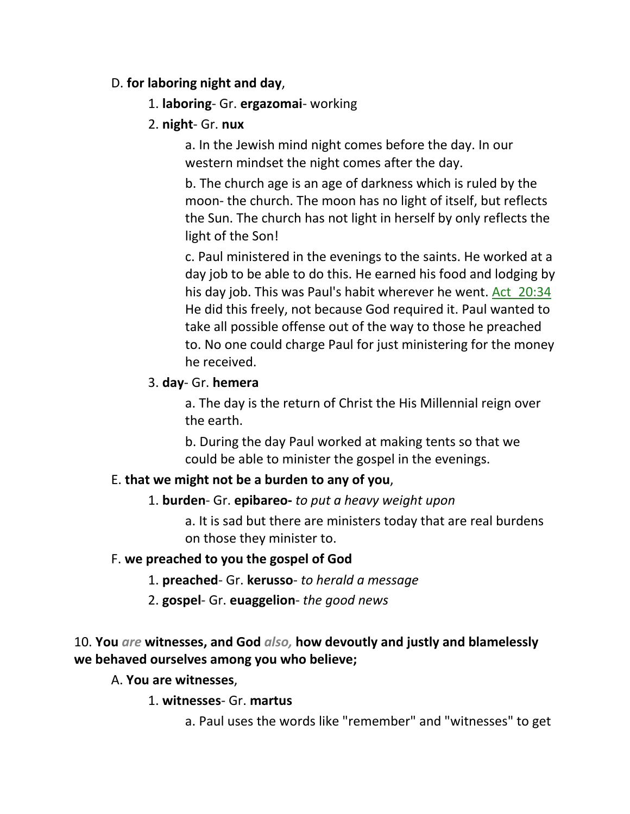### D. **for laboring night and day**,

- 1. **laboring** Gr. **ergazomai** working
- 2. **night** Gr. **nux**

a. In the Jewish mind night comes before the day. In our western mindset the night comes after the day.

b. The church age is an age of darkness which is ruled by the moon- the church. The moon has no light of itself, but reflects the Sun. The church has not light in herself by only reflects the light of the Son!

c. Paul ministered in the evenings to the saints. He worked at a day job to be able to do this. He earned his food and lodging by his day job. This was Paul's habit wherever he went. Act\_20:34 He did this freely, not because God required it. Paul wanted to take all possible offense out of the way to those he preached to. No one could charge Paul for just ministering for the money he received.

### 3. **day**- Gr. **hemera**

a. The day is the return of Christ the His Millennial reign over the earth.

b. During the day Paul worked at making tents so that we could be able to minister the gospel in the evenings.

# E. **that we might not be a burden to any of you**,

1. **burden**- Gr. **epibareo-** *to put a heavy weight upon*

a. It is sad but there are ministers today that are real burdens on those they minister to.

### F. **we preached to you the gospel of God**

- 1. **preached** Gr. **kerusso** *to herald a message*
- 2. **gospel** Gr. **euaggelion** *the good news*

# 10. **You** *are* **witnesses, and God** *also,* **how devoutly and justly and blamelessly we behaved ourselves among you who believe;**

### A. **You are witnesses**,

1. **witnesses**- Gr. **martus**

a. Paul uses the words like "remember" and "witnesses" to get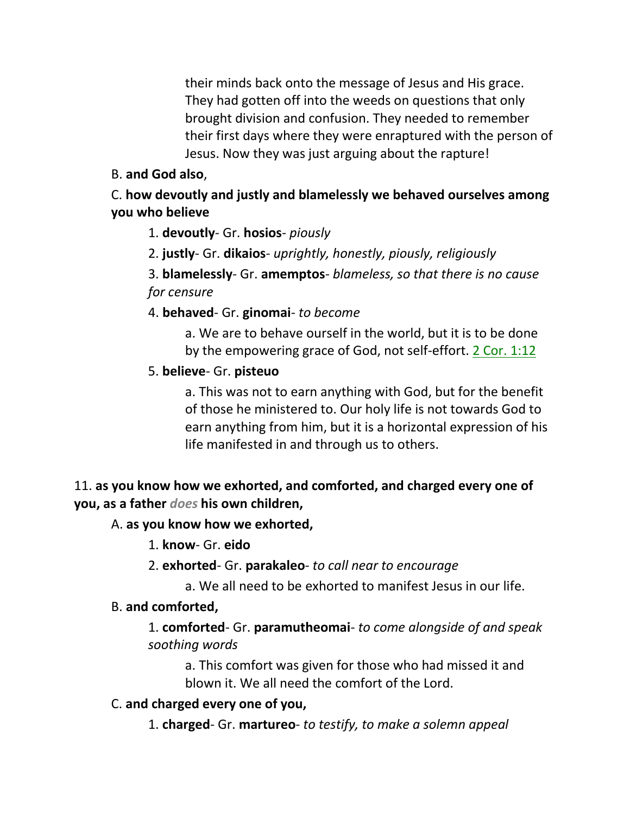their minds back onto the message of Jesus and His grace. They had gotten off into the weeds on questions that only brought division and confusion. They needed to remember their first days where they were enraptured with the person of Jesus. Now they was just arguing about the rapture!

# B. **and God also**,

# C. **how devoutly and justly and blamelessly we behaved ourselves among you who believe**

1. **devoutly**- Gr. **hosios**- *piously*

2. **justly**- Gr. **dikaios**- *uprightly, honestly, piously, religiously*

3. **blamelessly**- Gr. **amemptos**- *blameless, so that there is no cause for censure*

4. **behaved**- Gr. **ginomai**- *to become*

a. We are to behave ourself in the world, but it is to be done by the empowering grace of God, not self-effort. 2 Cor. 1:12

# 5. **believe**- Gr. **pisteuo**

a. This was not to earn anything with God, but for the benefit of those he ministered to. Our holy life is not towards God to earn anything from him, but it is a horizontal expression of his life manifested in and through us to others.

# 11. **as you know how we exhorted, and comforted, and charged every one of you, as a father** *does* **his own children,**

# A. **as you know how we exhorted,**

1. **know**- Gr. **eido**

- 2. **exhorted** Gr. **parakaleo** *to call near to encourage*
	- a. We all need to be exhorted to manifest Jesus in our life.

# B. **and comforted,**

1. **comforted**- Gr. **paramutheomai**- *to come alongside of and speak soothing words*

a. This comfort was given for those who had missed it and blown it. We all need the comfort of the Lord.

# C. **and charged every one of you,**

1. **charged**- Gr. **martureo**- *to testify, to make a solemn appeal*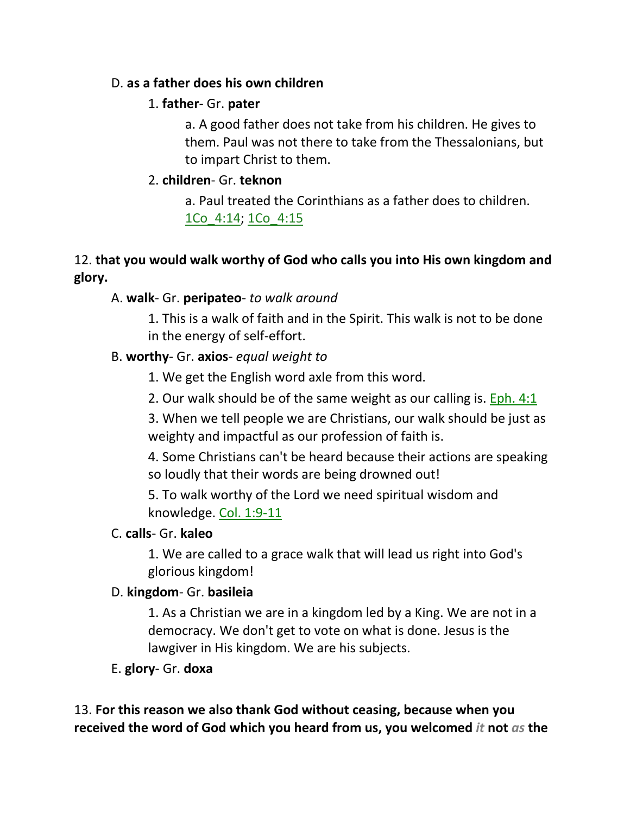### D. **as a father does his own children**

## 1. **father**- Gr. **pater**

a. A good father does not take from his children. He gives to them. Paul was not there to take from the Thessalonians, but to impart Christ to them.

# 2. **children**- Gr. **teknon**

a. Paul treated the Corinthians as a father does to children. 1Co\_4:14; 1Co\_4:15

# 12. **that you would walk worthy of God who calls you into His own kingdom and glory.**

# A. **walk**- Gr. **peripateo**- *to walk around*

1. This is a walk of faith and in the Spirit. This walk is not to be done in the energy of self-effort.

# B. **worthy**- Gr. **axios**- *equal weight to*

1. We get the English word axle from this word.

2. Our walk should be of the same weight as our calling is. Eph. 4:1

3. When we tell people we are Christians, our walk should be just as weighty and impactful as our profession of faith is.

4. Some Christians can't be heard because their actions are speaking so loudly that their words are being drowned out!

5. To walk worthy of the Lord we need spiritual wisdom and knowledge. Col. 1:9-11

# C. **calls**- Gr. **kaleo**

1. We are called to a grace walk that will lead us right into God's glorious kingdom!

# D. **kingdom**- Gr. **basileia**

1. As a Christian we are in a kingdom led by a King. We are not in a democracy. We don't get to vote on what is done. Jesus is the lawgiver in His kingdom. We are his subjects.

# E. **glory**- Gr. **doxa**

13. **For this reason we also thank God without ceasing, because when you received the word of God which you heard from us, you welcomed** *it* **not** *as* **the**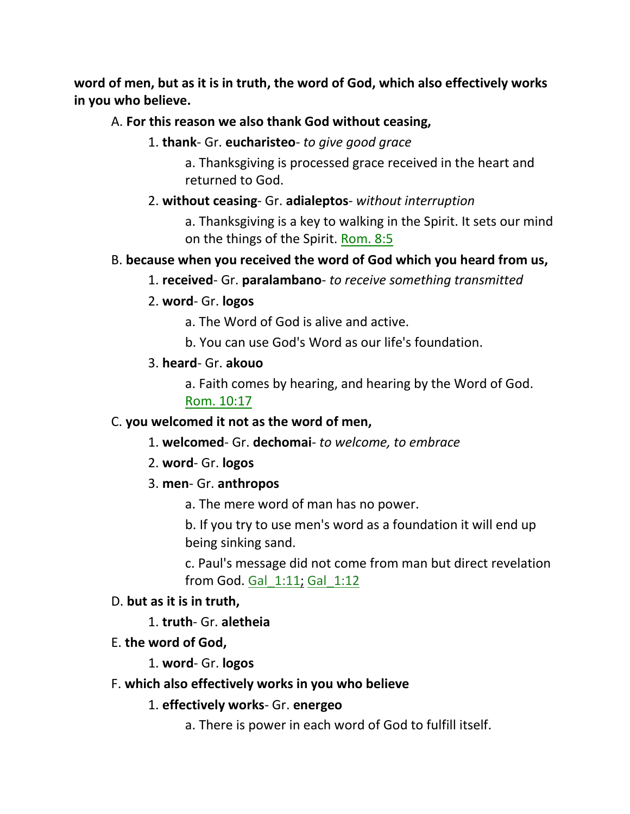**word of men, but as it is in truth, the word of God, which also effectively works in you who believe.**

### A. **For this reason we also thank God without ceasing,**

1. **thank**- Gr. **eucharisteo**- *to give good grace*

a. Thanksgiving is processed grace received in the heart and returned to God.

2. **without ceasing**- Gr. **adialeptos**- *without interruption*

a. Thanksgiving is a key to walking in the Spirit. It sets our mind on the things of the Spirit. Rom. 8:5

#### B. **because when you received the word of God which you heard from us,**

- 1. **received** Gr. **paralambano** *to receive something transmitted*
- 2. **word** Gr. **logos**

a. The Word of God is alive and active.

b. You can use God's Word as our life's foundation.

#### 3. **heard**- Gr. **akouo**

a. Faith comes by hearing, and hearing by the Word of God. Rom. 10:17

#### C. **you welcomed it not as the word of men,**

- 1. **welcomed** Gr. **dechomai** *to welcome, to embrace*
- 2. **word** Gr. **logos**
- 3. **men** Gr. **anthropos**
	- a. The mere word of man has no power.

b. If you try to use men's word as a foundation it will end up being sinking sand.

c. Paul's message did not come from man but direct revelation from God. Gal\_1:11; Gal\_1:12

#### D. **but as it is in truth,**

1. **truth**- Gr. **aletheia**

- E. **the word of God,**
	- 1. **word** Gr. **logos**
- F. **which also effectively works in you who believe**
	- 1. **effectively works** Gr. **energeo**
		- a. There is power in each word of God to fulfill itself.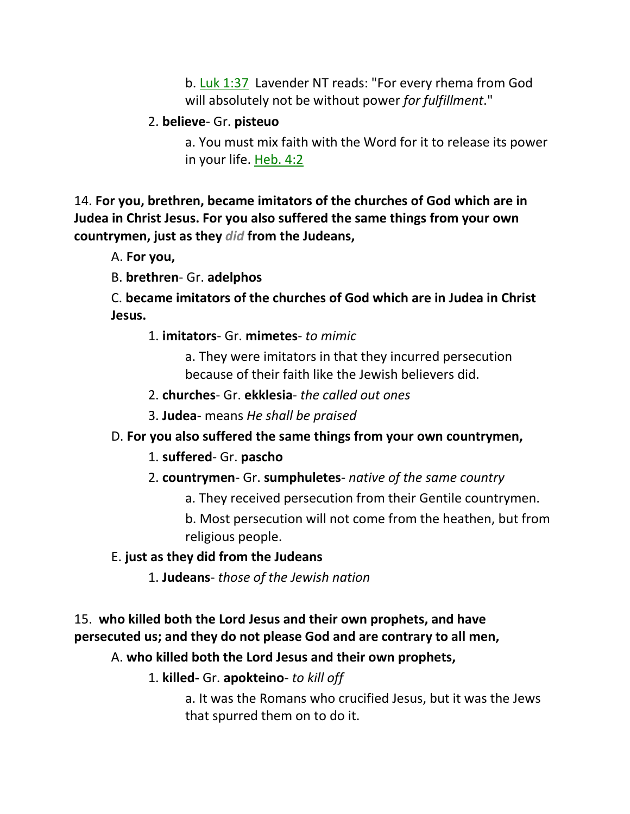b. Luk 1:37 Lavender NT reads: "For every rhema from God will absolutely not be without power *for fulfillment*."

## 2. **believe**- Gr. **pisteuo**

a. You must mix faith with the Word for it to release its power in your life. Heb. 4:2

14. **For you, brethren, became imitators of the churches of God which are in Judea in Christ Jesus. For you also suffered the same things from your own countrymen, just as they** *did* **from the Judeans,** 

A. **For you,**

B. **brethren**- Gr. **adelphos**

C. **became imitators of the churches of God which are in Judea in Christ Jesus.**

1. **imitators**- Gr. **mimetes**- *to mimic*

a. They were imitators in that they incurred persecution because of their faith like the Jewish believers did.

2. **churches**- Gr. **ekklesia**- *the called out ones*

3. **Judea**- means *He shall be praised*

# D. **For you also suffered the same things from your own countrymen,**

# 1. **suffered**- Gr. **pascho**

# 2. **countrymen**- Gr. **sumphuletes**- *native of the same country*

a. They received persecution from their Gentile countrymen.

b. Most persecution will not come from the heathen, but from religious people.

# E. **just as they did from the Judeans**

1. **Judeans**- *those of the Jewish nation*

# 15. **who killed both the Lord Jesus and their own prophets, and have persecuted us; and they do not please God and are contrary to all men,**

# A. **who killed both the Lord Jesus and their own prophets,**

1. **killed-** Gr. **apokteino**- *to kill off*

a. It was the Romans who crucified Jesus, but it was the Jews that spurred them on to do it.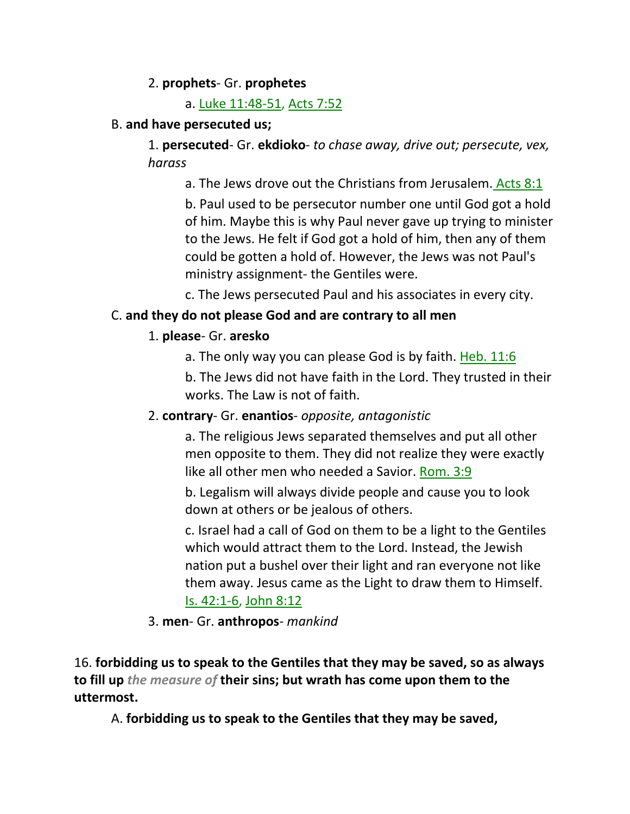### 2. **prophets**- Gr. **prophetes**

a. Luke 11:48-51, Acts 7:52

## B. **and have persecuted us;**

1. **persecuted**- Gr. **ekdioko**- *to chase away, drive out; persecute, vex, harass*

a. The Jews drove out the Christians from Jerusalem. Acts 8:1 b. Paul used to be persecutor number one until God got a hold of him. Maybe this is why Paul never gave up trying to minister to the Jews. He felt if God got a hold of him, then any of them could be gotten a hold of. However, the Jews was not Paul's ministry assignment- the Gentiles were.

c. The Jews persecuted Paul and his associates in every city.

# C. **and they do not please God and are contrary to all men**

# 1. **please**- Gr. **aresko**

a. The only way you can please God is by faith. Heb. 11:6

b. The Jews did not have faith in the Lord. They trusted in their works. The Law is not of faith.

# 2. **contrary**- Gr. **enantios**- *opposite, antagonistic*

a. The religious Jews separated themselves and put all other men opposite to them. They did not realize they were exactly like all other men who needed a Savior. Rom. 3:9

b. Legalism will always divide people and cause you to look down at others or be jealous of others.

c. Israel had a call of God on them to be a light to the Gentiles which would attract them to the Lord. Instead, the Jewish nation put a bushel over their light and ran everyone not like them away. Jesus came as the Light to draw them to Himself. Is. 42:1-6, John 8:12

### 3. **men**- Gr. **anthropos**- *mankind*

16. **forbidding us to speak to the Gentiles that they may be saved, so as always to fill up** *the measure of* **their sins; but wrath has come upon them to the uttermost.** 

A. **forbidding us to speak to the Gentiles that they may be saved,**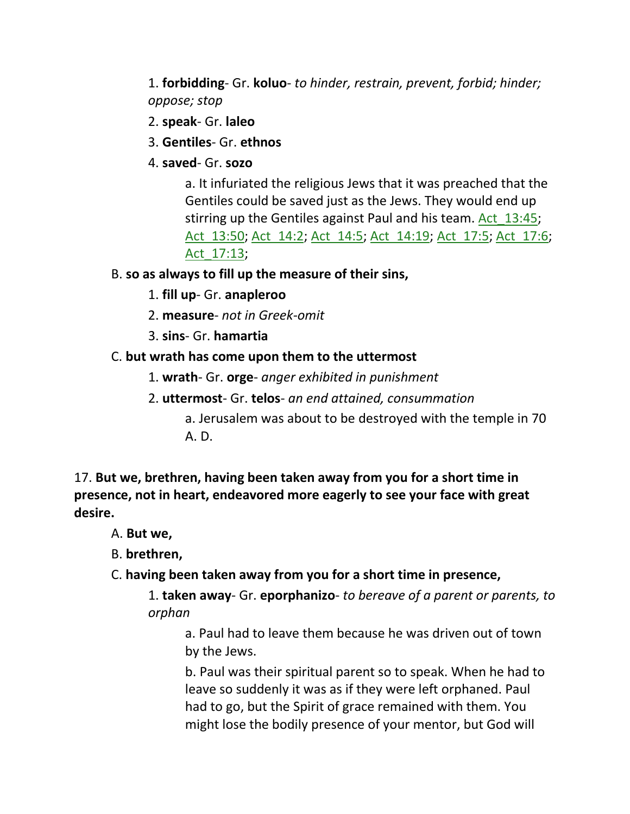1. **forbidding**- Gr. **koluo**- *to hinder, restrain, prevent, forbid; hinder; oppose; stop*

- 2. **speak** Gr. **laleo**
- 3. **Gentiles** Gr. **ethnos**
- 4. **saved** Gr. **sozo**

a. It infuriated the religious Jews that it was preached that the Gentiles could be saved just as the Jews. They would end up stirring up the Gentiles against Paul and his team. Act\_13:45; Act\_13:50; Act\_14:2; Act\_14:5; Act\_14:19; Act\_17:5; Act\_17:6; Act\_17:13;

- B. **so as always to fill up the measure of their sins,**
	- 1. **fill up** Gr. **anapleroo**
	- 2. **measure** *not in Greek-omit*
	- 3. **sins** Gr. **hamartia**

### C. **but wrath has come upon them to the uttermost**

- 1. **wrath** Gr. **orge** *anger exhibited in punishment*
- 2. **uttermost** Gr. **telos** *an end attained, consummation*
	- a. Jerusalem was about to be destroyed with the temple in 70 A. D.

17. **But we, brethren, having been taken away from you for a short time in presence, not in heart, endeavored more eagerly to see your face with great desire.** 

- A. **But we,**
- B. **brethren,**
- C. **having been taken away from you for a short time in presence,**

1. **taken away**- Gr. **eporphanizo**- *to bereave of a parent or parents, to orphan*

a. Paul had to leave them because he was driven out of town by the Jews.

b. Paul was their spiritual parent so to speak. When he had to leave so suddenly it was as if they were left orphaned. Paul had to go, but the Spirit of grace remained with them. You might lose the bodily presence of your mentor, but God will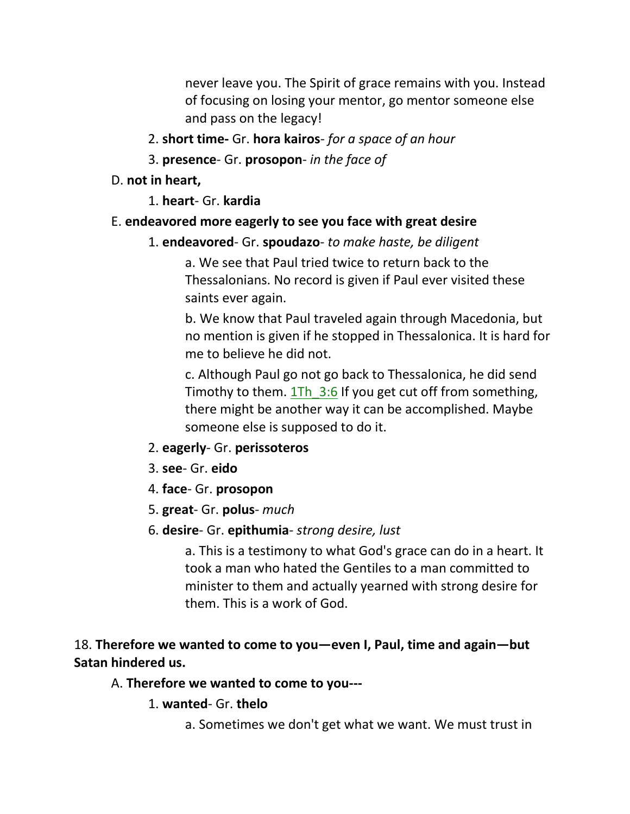never leave you. The Spirit of grace remains with you. Instead of focusing on losing your mentor, go mentor someone else and pass on the legacy!

- 2. **short time-** Gr. **hora kairos** *for a space of an hour*
- 3. **presence** Gr. **prosopon** *in the face of*
- D. **not in heart,**
	- 1. **heart** Gr. **kardia**

### E. **endeavored more eagerly to see you face with great desire**

### 1. **endeavored**- Gr. **spoudazo**- *to make haste, be diligent*

a. We see that Paul tried twice to return back to the Thessalonians. No record is given if Paul ever visited these saints ever again.

b. We know that Paul traveled again through Macedonia, but no mention is given if he stopped in Thessalonica. It is hard for me to believe he did not.

c. Although Paul go not go back to Thessalonica, he did send Timothy to them. 1Th 3:6 If you get cut off from something, there might be another way it can be accomplished. Maybe someone else is supposed to do it.

- 2. **eagerly** Gr. **perissoteros**
- 3. **see** Gr. **eido**
- 4. **face** Gr. **prosopon**
- 5. **great** Gr. **polus** *much*
- 6. **desire** Gr. **epithumia** *strong desire, lust*

a. This is a testimony to what God's grace can do in a heart. It took a man who hated the Gentiles to a man committed to minister to them and actually yearned with strong desire for them. This is a work of God.

## 18. **Therefore we wanted to come to you—even I, Paul, time and again—but Satan hindered us.**

#### A. **Therefore we wanted to come to you---**

- 1. **wanted** Gr. **thelo**
	- a. Sometimes we don't get what we want. We must trust in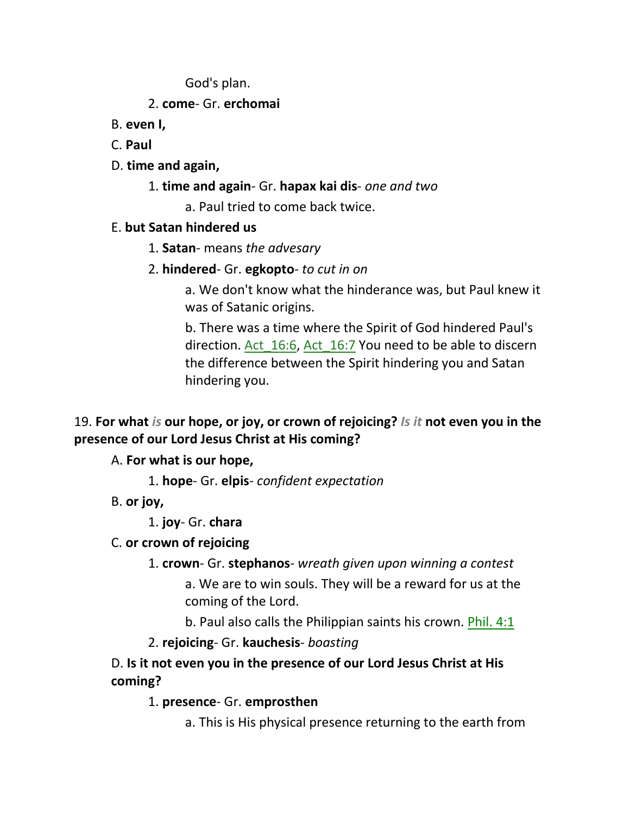God's plan.

## 2. **come**- Gr. **erchomai**

- B. **even I,**
- C. **Paul**
- D. **time and again,**
	- 1. **time and again** Gr. **hapax kai dis** *one and two*
		- a. Paul tried to come back twice.

# E. **but Satan hindered us**

- 1. **Satan** means *the advesary*
- 2. **hindered** Gr. **egkopto** *to cut in on*

a. We don't know what the hinderance was, but Paul knew it was of Satanic origins.

b. There was a time where the Spirit of God hindered Paul's direction. Act\_16:6, Act\_16:7 You need to be able to discern the difference between the Spirit hindering you and Satan hindering you.

# 19. **For what** *is* **our hope, or joy, or crown of rejoicing?** *Is it* **not even you in the presence of our Lord Jesus Christ at His coming?**

A. **For what is our hope,**

1. **hope**- Gr. **elpis**- *confident expectation*

B. **or joy,**

1. **joy**- Gr. **chara**

# C. **or crown of rejoicing**

1. **crown**- Gr. **stephanos**- *wreath given upon winning a contest*

a. We are to win souls. They will be a reward for us at the coming of the Lord.

b. Paul also calls the Philippian saints his crown. Phil. 4:1

# 2. **rejoicing**- Gr. **kauchesis**- *boasting*

# D. **Is it not even you in the presence of our Lord Jesus Christ at His coming?**

1. **presence**- Gr. **emprosthen**

a. This is His physical presence returning to the earth from